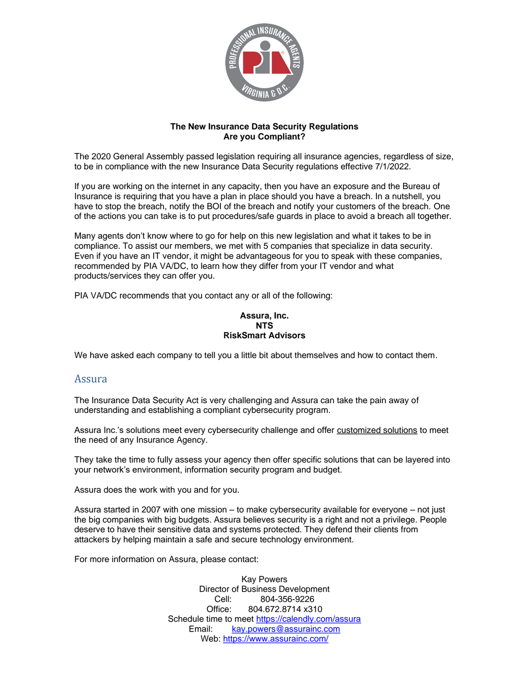

### **The New Insurance Data Security Regulations Are you Compliant?**

The 2020 General Assembly passed legislation requiring all insurance agencies, regardless of size, to be in compliance with the new Insurance Data Security regulations effective 7/1/2022.

If you are working on the internet in any capacity, then you have an exposure and the Bureau of Insurance is requiring that you have a plan in place should you have a breach. In a nutshell, you have to stop the breach, notify the BOI of the breach and notify your customers of the breach. One of the actions you can take is to put procedures/safe guards in place to avoid a breach all together.

Many agents don't know where to go for help on this new legislation and what it takes to be in compliance. To assist our members, we met with 5 companies that specialize in data security. Even if you have an IT vendor, it might be advantageous for you to speak with these companies, recommended by PIA VA/DC, to learn how they differ from your IT vendor and what products/services they can offer you.

PIA VA/DC recommends that you contact any or all of the following:

#### **Assura, Inc. NTS RiskSmart Advisors**

We have asked each company to tell you a little bit about themselves and how to contact them.

## Assura

The Insurance Data Security Act is very challenging and Assura can take the pain away of understanding and establishing a compliant cybersecurity program.

Assura Inc.'s solutions meet every cybersecurity challenge and offer customized solutions to meet the need of any Insurance Agency.

They take the time to fully assess your agency then offer specific solutions that can be layered into your network's environment, information security program and budget.

Assura does the work with you and for you.

Assura started in 2007 with one mission – to make cybersecurity available for everyone – not just the big companies with big budgets. Assura believes security is a right and not a privilege. People deserve to have their sensitive data and systems protected. They defend their clients from attackers by helping maintain a safe and secure technology environment.

For more information on Assura, please contact:

Kay Powers Director of Business Development Cell: 804-356-9226<br>Office: 804.672.8714 x31 Office: 804.672.8714 x310 Schedule time to meet<https://calendly.com/assura> Email: [kay.powers@assurainc.com](mailto:kay.powers@assurainc.com) Web: [https://www.assurainc.com/](https://nam10.safelinks.protection.outlook.com/?url=https%3A%2F%2Fwww.assurainc.com%2F&data=02%7C01%7Ckay.powers%40assurainc.com%7Cf71a47d27b4d4300913308d7b5652a1a%7C7092249a50c5488fbd2574ca3b2af5ea%7C0%7C0%7C637177318414270901&sdata=5tWy3xwIU8MdO%2FKbWZmtykFGArLjsoQPx36Z49rqCl8%3D&reserved=0)